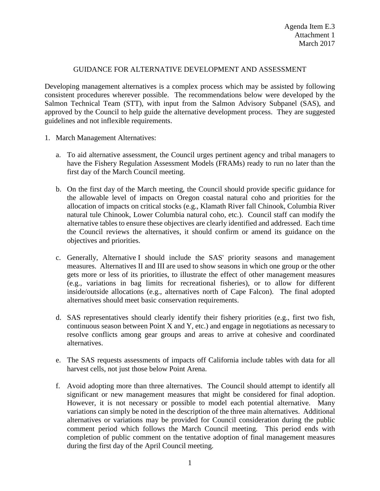## GUIDANCE FOR ALTERNATIVE DEVELOPMENT AND ASSESSMENT

Developing management alternatives is a complex process which may be assisted by following consistent procedures wherever possible. The recommendations below were developed by the Salmon Technical Team (STT), with input from the Salmon Advisory Subpanel (SAS), and approved by the Council to help guide the alternative development process. They are suggested guidelines and not inflexible requirements.

- 1. March Management Alternatives:
	- a. To aid alternative assessment, the Council urges pertinent agency and tribal managers to have the Fishery Regulation Assessment Models (FRAMs) ready to run no later than the first day of the March Council meeting.
	- b. On the first day of the March meeting, the Council should provide specific guidance for the allowable level of impacts on Oregon coastal natural coho and priorities for the allocation of impacts on critical stocks (e.g., Klamath River fall Chinook, Columbia River natural tule Chinook, Lower Columbia natural coho, etc.). Council staff can modify the alternative tables to ensure these objectives are clearly identified and addressed. Each time the Council reviews the alternatives, it should confirm or amend its guidance on the objectives and priorities.
	- c. Generally, Alternative I should include the SAS' priority seasons and management measures. Alternatives II and III are used to show seasons in which one group or the other gets more or less of its priorities, to illustrate the effect of other management measures (e.g., variations in bag limits for recreational fisheries), or to allow for different inside/outside allocations (e.g., alternatives north of Cape Falcon). The final adopted alternatives should meet basic conservation requirements.
	- d. SAS representatives should clearly identify their fishery priorities (e.g., first two fish, continuous season between Point X and Y, etc.) and engage in negotiations as necessary to resolve conflicts among gear groups and areas to arrive at cohesive and coordinated alternatives.
	- e. The SAS requests assessments of impacts off California include tables with data for all harvest cells, not just those below Point Arena.
	- f. Avoid adopting more than three alternatives. The Council should attempt to identify all significant or new management measures that might be considered for final adoption. However, it is not necessary or possible to model each potential alternative. Many variations can simply be noted in the description of the three main alternatives. Additional alternatives or variations may be provided for Council consideration during the public comment period which follows the March Council meeting. This period ends with completion of public comment on the tentative adoption of final management measures during the first day of the April Council meeting.